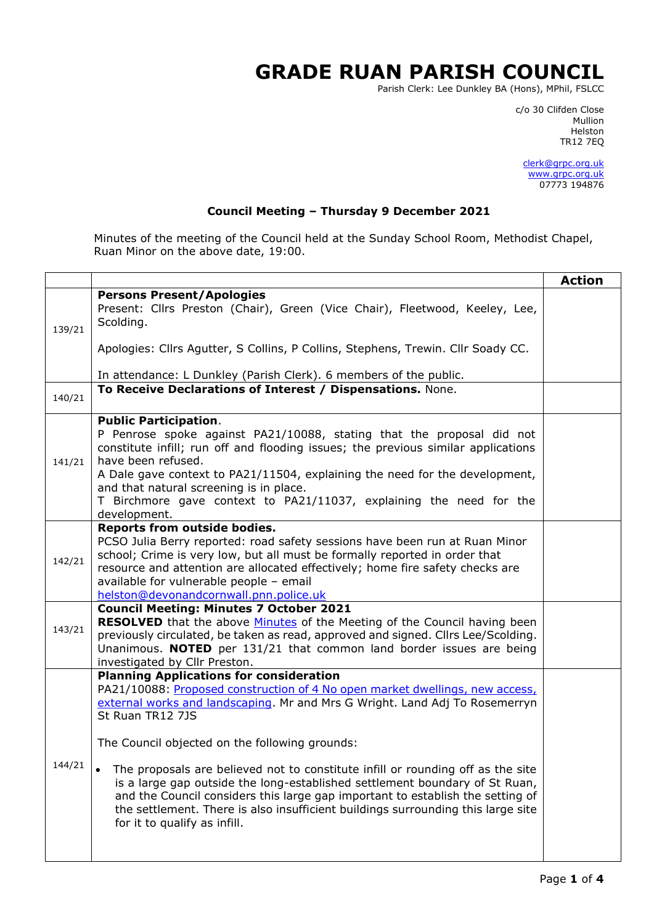## **GRADE RUAN PARISH COUNCIL**

Parish Clerk: Lee Dunkley BA (Hons), MPhil, FSLCC

c/o 30 Clifden Close man and the control of the control of the control of the control of the control of the control of the control o Helston TR12 7EQ

> [clerk@grpc.org.uk](mailto:clerk@grpc.org.uk) [www.grpc.org.uk](http://www.grpc.org.uk/) 07773 194876

## **Council Meeting – Thursday 9 December 2021**

Minutes of the meeting of the Council held at the Sunday School Room, Methodist Chapel, Ruan Minor on the above date, 19:00.

|        |                                                                                                                                                                                                                                                                                                                                                                                                                                                                                                                                                                                                                                                             | <b>Action</b> |  |  |
|--------|-------------------------------------------------------------------------------------------------------------------------------------------------------------------------------------------------------------------------------------------------------------------------------------------------------------------------------------------------------------------------------------------------------------------------------------------------------------------------------------------------------------------------------------------------------------------------------------------------------------------------------------------------------------|---------------|--|--|
| 139/21 | <b>Persons Present/Apologies</b><br>Present: Cllrs Preston (Chair), Green (Vice Chair), Fleetwood, Keeley, Lee,<br>Scolding.                                                                                                                                                                                                                                                                                                                                                                                                                                                                                                                                |               |  |  |
|        | Apologies: Cllrs Agutter, S Collins, P Collins, Stephens, Trewin. Cllr Soady CC.<br>In attendance: L Dunkley (Parish Clerk). 6 members of the public.                                                                                                                                                                                                                                                                                                                                                                                                                                                                                                       |               |  |  |
| 140/21 | To Receive Declarations of Interest / Dispensations. None.                                                                                                                                                                                                                                                                                                                                                                                                                                                                                                                                                                                                  |               |  |  |
| 141/21 | <b>Public Participation.</b><br>P Penrose spoke against PA21/10088, stating that the proposal did not<br>constitute infill; run off and flooding issues; the previous similar applications<br>have been refused.<br>A Dale gave context to PA21/11504, explaining the need for the development,<br>and that natural screening is in place.<br>T Birchmore gave context to PA21/11037, explaining the need for the<br>development.                                                                                                                                                                                                                           |               |  |  |
| 142/21 | Reports from outside bodies.<br>PCSO Julia Berry reported: road safety sessions have been run at Ruan Minor<br>school; Crime is very low, but all must be formally reported in order that<br>resource and attention are allocated effectively; home fire safety checks are<br>available for vulnerable people - email<br>helston@devonandcornwall.pnn.police.uk                                                                                                                                                                                                                                                                                             |               |  |  |
| 143/21 | <b>Council Meeting: Minutes 7 October 2021</b><br><b>RESOLVED</b> that the above <b>Minutes</b> of the Meeting of the Council having been<br>previously circulated, be taken as read, approved and signed. Cllrs Lee/Scolding.<br>Unanimous. NOTED per 131/21 that common land border issues are being<br>investigated by Cllr Preston.                                                                                                                                                                                                                                                                                                                     |               |  |  |
| 144/21 | <b>Planning Applications for consideration</b><br>PA21/10088: Proposed construction of 4 No open market dwellings, new access,<br>external works and landscaping. Mr and Mrs G Wright. Land Adj To Rosemerryn<br>St Ruan TR12 7JS<br>The Council objected on the following grounds:<br>The proposals are believed not to constitute infill or rounding off as the site<br>is a large gap outside the long-established settlement boundary of St Ruan,<br>and the Council considers this large gap important to establish the setting of<br>the settlement. There is also insufficient buildings surrounding this large site<br>for it to qualify as infill. |               |  |  |
|        |                                                                                                                                                                                                                                                                                                                                                                                                                                                                                                                                                                                                                                                             |               |  |  |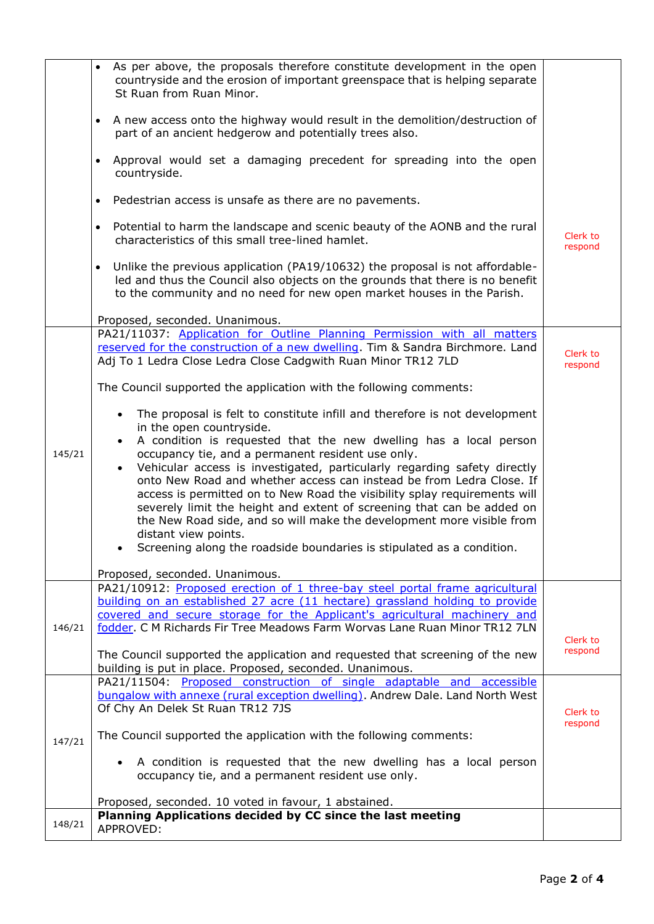|        | As per above, the proposals therefore constitute development in the open<br>countryside and the erosion of important greenspace that is helping separate<br>St Ruan from Ruan Minor.                                                                                                                                                                                                                                                                                              |                     |
|--------|-----------------------------------------------------------------------------------------------------------------------------------------------------------------------------------------------------------------------------------------------------------------------------------------------------------------------------------------------------------------------------------------------------------------------------------------------------------------------------------|---------------------|
|        | A new access onto the highway would result in the demolition/destruction of<br>$\bullet$<br>part of an ancient hedgerow and potentially trees also.                                                                                                                                                                                                                                                                                                                               |                     |
|        | Approval would set a damaging precedent for spreading into the open<br>$\bullet$<br>countryside.                                                                                                                                                                                                                                                                                                                                                                                  |                     |
|        | Pedestrian access is unsafe as there are no pavements.<br>$\bullet$                                                                                                                                                                                                                                                                                                                                                                                                               |                     |
|        | Potential to harm the landscape and scenic beauty of the AONB and the rural<br>$\bullet$<br>characteristics of this small tree-lined hamlet.                                                                                                                                                                                                                                                                                                                                      | Clerk to<br>respond |
|        | Unlike the previous application (PA19/10632) the proposal is not affordable-<br>$\bullet$<br>led and thus the Council also objects on the grounds that there is no benefit<br>to the community and no need for new open market houses in the Parish.                                                                                                                                                                                                                              |                     |
|        | Proposed, seconded. Unanimous.                                                                                                                                                                                                                                                                                                                                                                                                                                                    |                     |
|        | PA21/11037: Application for Outline Planning Permission with all matters<br>reserved for the construction of a new dwelling. Tim & Sandra Birchmore. Land<br>Adj To 1 Ledra Close Ledra Close Cadgwith Ruan Minor TR12 7LD                                                                                                                                                                                                                                                        | Clerk to<br>respond |
|        | The Council supported the application with the following comments:                                                                                                                                                                                                                                                                                                                                                                                                                |                     |
| 145/21 | The proposal is felt to constitute infill and therefore is not development<br>$\bullet$<br>in the open countryside.<br>A condition is requested that the new dwelling has a local person<br>occupancy tie, and a permanent resident use only.                                                                                                                                                                                                                                     |                     |
|        | Vehicular access is investigated, particularly regarding safety directly<br>onto New Road and whether access can instead be from Ledra Close. If<br>access is permitted on to New Road the visibility splay requirements will<br>severely limit the height and extent of screening that can be added on<br>the New Road side, and so will make the development more visible from<br>distant view points.<br>Screening along the roadside boundaries is stipulated as a condition. |                     |
|        | Proposed, seconded. Unanimous.                                                                                                                                                                                                                                                                                                                                                                                                                                                    |                     |
|        | PA21/10912: Proposed erection of 1 three-bay steel portal frame agricultural<br>building on an established 27 acre (11 hectare) grassland holding to provide<br>covered and secure storage for the Applicant's agricultural machinery and                                                                                                                                                                                                                                         |                     |
| 146/21 | fodder. C M Richards Fir Tree Meadows Farm Worvas Lane Ruan Minor TR12 7LN                                                                                                                                                                                                                                                                                                                                                                                                        | Clerk to            |
|        | The Council supported the application and requested that screening of the new<br>building is put in place. Proposed, seconded. Unanimous.                                                                                                                                                                                                                                                                                                                                         | respond             |
|        | PA21/11504: Proposed construction of single adaptable and accessible<br>bungalow with annexe (rural exception dwelling). Andrew Dale. Land North West<br>Of Chy An Delek St Ruan TR12 7JS                                                                                                                                                                                                                                                                                         | Clerk to            |
| 147/21 | The Council supported the application with the following comments:                                                                                                                                                                                                                                                                                                                                                                                                                | respond             |
|        | A condition is requested that the new dwelling has a local person<br>occupancy tie, and a permanent resident use only.                                                                                                                                                                                                                                                                                                                                                            |                     |
|        | Proposed, seconded. 10 voted in favour, 1 abstained.                                                                                                                                                                                                                                                                                                                                                                                                                              |                     |
| 148/21 | Planning Applications decided by CC since the last meeting<br>APPROVED:                                                                                                                                                                                                                                                                                                                                                                                                           |                     |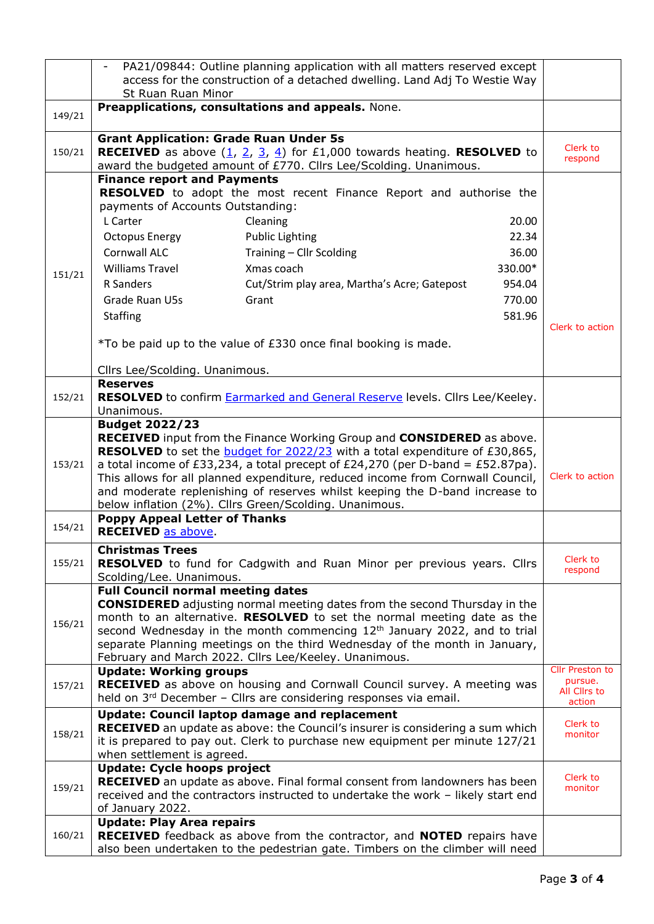|        |                                                                                        | PA21/09844: Outline planning application with all matters reserved except                                                                                        |         |                        |
|--------|----------------------------------------------------------------------------------------|------------------------------------------------------------------------------------------------------------------------------------------------------------------|---------|------------------------|
|        | access for the construction of a detached dwelling. Land Adj To Westie Way             |                                                                                                                                                                  |         |                        |
|        | St Ruan Ruan Minor                                                                     |                                                                                                                                                                  |         |                        |
| 149/21 | Preapplications, consultations and appeals. None.                                      |                                                                                                                                                                  |         |                        |
|        | <b>Grant Application: Grade Ruan Under 5s</b>                                          |                                                                                                                                                                  |         |                        |
| 150/21 |                                                                                        | <b>RECEIVED</b> as above $(\underline{1}, \underline{2}, \underline{3}, \underline{4})$ for £1,000 towards heating. <b>RESOLVED</b> to                           |         | Clerk to<br>respond    |
|        |                                                                                        | award the budgeted amount of £770. Cllrs Lee/Scolding. Unanimous.                                                                                                |         |                        |
|        | <b>Finance report and Payments</b>                                                     | RESOLVED to adopt the most recent Finance Report and authorise the                                                                                               |         |                        |
|        | payments of Accounts Outstanding:                                                      |                                                                                                                                                                  |         |                        |
|        | L Carter                                                                               | Cleaning                                                                                                                                                         | 20.00   |                        |
|        | <b>Octopus Energy</b>                                                                  | <b>Public Lighting</b>                                                                                                                                           | 22.34   |                        |
|        | Cornwall ALC                                                                           | Training - Cllr Scolding                                                                                                                                         | 36.00   |                        |
|        | <b>Williams Travel</b>                                                                 | Xmas coach                                                                                                                                                       | 330.00* |                        |
| 151/21 | R Sanders                                                                              | Cut/Strim play area, Martha's Acre; Gatepost                                                                                                                     | 954.04  |                        |
|        | Grade Ruan U5s<br>Grant                                                                |                                                                                                                                                                  | 770.00  |                        |
|        | <b>Staffing</b>                                                                        |                                                                                                                                                                  | 581.96  |                        |
|        |                                                                                        |                                                                                                                                                                  |         | Clerk to action        |
|        |                                                                                        | *To be paid up to the value of £330 once final booking is made.                                                                                                  |         |                        |
|        |                                                                                        |                                                                                                                                                                  |         |                        |
|        | Cllrs Lee/Scolding. Unanimous.<br><b>Reserves</b>                                      |                                                                                                                                                                  |         |                        |
| 152/21 |                                                                                        | RESOLVED to confirm <b>Earmarked and General Reserve</b> levels. Cllrs Lee/Keeley.                                                                               |         |                        |
|        | Unanimous.                                                                             |                                                                                                                                                                  |         |                        |
|        | <b>Budget 2022/23</b>                                                                  |                                                                                                                                                                  |         |                        |
|        |                                                                                        | RECEIVED input from the Finance Working Group and CONSIDERED as above.                                                                                           |         |                        |
| 153/21 |                                                                                        | <b>RESOLVED</b> to set the <b>budget for 2022/23</b> with a total expenditure of £30,865,                                                                        |         |                        |
|        |                                                                                        | a total income of £33,234, a total precept of £24,270 (per D-band = £52.87pa).<br>This allows for all planned expenditure, reduced income from Cornwall Council, |         | Clerk to action        |
|        |                                                                                        | and moderate replenishing of reserves whilst keeping the D-band increase to                                                                                      |         |                        |
|        | below inflation (2%). Cllrs Green/Scolding. Unanimous.                                 |                                                                                                                                                                  |         |                        |
| 154/21 | <b>Poppy Appeal Letter of Thanks</b>                                                   |                                                                                                                                                                  |         |                        |
|        | <b>RECEIVED</b> as above.                                                              |                                                                                                                                                                  |         |                        |
|        | <b>Christmas Trees</b>                                                                 |                                                                                                                                                                  |         | Clerk to               |
| 155/21 |                                                                                        | RESOLVED to fund for Cadgwith and Ruan Minor per previous years. Cllrs                                                                                           |         | respond                |
|        | Scolding/Lee. Unanimous.<br><b>Full Council normal meeting dates</b>                   |                                                                                                                                                                  |         |                        |
|        |                                                                                        | <b>CONSIDERED</b> adjusting normal meeting dates from the second Thursday in the                                                                                 |         |                        |
| 156/21 |                                                                                        | month to an alternative. RESOLVED to set the normal meeting date as the                                                                                          |         |                        |
|        |                                                                                        | second Wednesday in the month commencing 12 <sup>th</sup> January 2022, and to trial                                                                             |         |                        |
|        |                                                                                        | separate Planning meetings on the third Wednesday of the month in January,                                                                                       |         |                        |
|        | February and March 2022. Cllrs Lee/Keeley. Unanimous.<br><b>Update: Working groups</b> |                                                                                                                                                                  |         | Cllr Preston to        |
| 157/21 |                                                                                        | RECEIVED as above on housing and Cornwall Council survey. A meeting was                                                                                          |         | pursue.                |
|        |                                                                                        | held on 3rd December - Cllrs are considering responses via email.                                                                                                |         | All Cllrs to<br>action |
|        | <b>Update: Council laptop damage and replacement</b>                                   |                                                                                                                                                                  |         |                        |
| 158/21 |                                                                                        | <b>RECEIVED</b> an update as above: the Council's insurer is considering a sum which                                                                             |         | Clerk to<br>monitor    |
|        |                                                                                        | it is prepared to pay out. Clerk to purchase new equipment per minute 127/21                                                                                     |         |                        |
|        | when settlement is agreed.<br><b>Update: Cycle hoops project</b>                       |                                                                                                                                                                  |         |                        |
|        |                                                                                        | <b>RECEIVED</b> an update as above. Final formal consent from landowners has been                                                                                |         | Clerk to               |
| 159/21 |                                                                                        | received and the contractors instructed to undertake the work - likely start end                                                                                 |         | monitor                |
|        | of January 2022.                                                                       |                                                                                                                                                                  |         |                        |
|        | <b>Update: Play Area repairs</b>                                                       |                                                                                                                                                                  |         |                        |
| 160/21 |                                                                                        | RECEIVED feedback as above from the contractor, and NOTED repairs have                                                                                           |         |                        |
|        |                                                                                        | also been undertaken to the pedestrian gate. Timbers on the climber will need                                                                                    |         |                        |